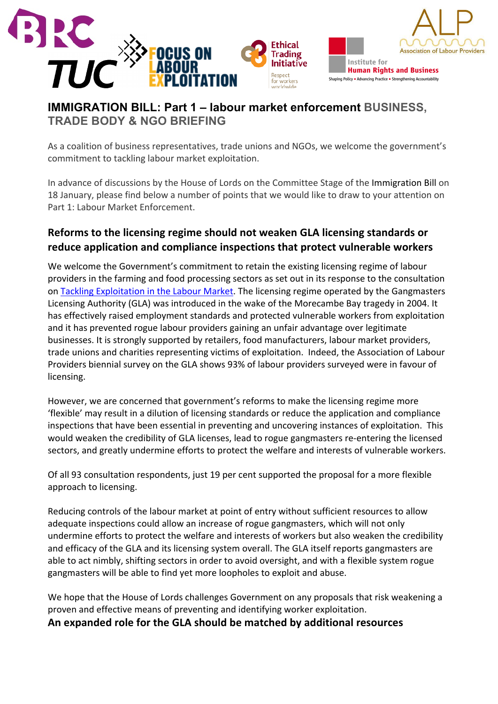

## **IMMIGRATION BILL: Part 1 – labour market enforcement BUSINESS, TRADE BODY & NGO BRIEFING**

As a coalition of business representatives, trade unions and NGOs, we welcome the government's commitment to tackling labour market exploitation.

In advance of discussions by the House of Lords on the Committee Stage of the Immigration Bill on 18 January, please find below a number of points that we would like to draw to your attention on Part 1: Labour Market Enforcement.

## **Reforms to the licensing regime should not weaken GLA licensing standards or reduce application and compliance inspections that protect vulnerable workers**

We welcome the Government's commitment to retain the existing licensing regime of labour providers in the farming and food processing sectors as set out in its response to the consultation on Tackling Exploitation in the Labour Market. The licensing regime operated by the Gangmasters Licensing Authority (GLA) was introduced in the wake of the Morecambe Bay tragedy in 2004. It has effectively raised employment standards and protected vulnerable workers from exploitation and it has prevented rogue labour providers gaining an unfair advantage over legitimate businesses. It is strongly supported by retailers, food manufacturers, labour market providers, trade unions and charities representing victims of exploitation. Indeed, the Association of Labour Providers biennial survey on the GLA shows 93% of labour providers surveyed were in favour of licensing. 

However, we are concerned that government's reforms to make the licensing regime more 'flexible' may result in a dilution of licensing standards or reduce the application and compliance inspections that have been essential in preventing and uncovering instances of exploitation. This would weaken the credibility of GLA licenses, lead to rogue gangmasters re-entering the licensed sectors, and greatly undermine efforts to protect the welfare and interests of vulnerable workers.

Of all 93 consultation respondents, just 19 per cent supported the proposal for a more flexible approach to licensing.

Reducing controls of the labour market at point of entry without sufficient resources to allow adequate inspections could allow an increase of rogue gangmasters, which will not only undermine efforts to protect the welfare and interests of workers but also weaken the credibility and efficacy of the GLA and its licensing system overall. The GLA itself reports gangmasters are able to act nimbly, shifting sectors in order to avoid oversight, and with a flexible system rogue gangmasters will be able to find yet more loopholes to exploit and abuse.

We hope that the House of Lords challenges Government on any proposals that risk weakening a proven and effective means of preventing and identifying worker exploitation. An expanded role for the GLA should be matched by additional resources